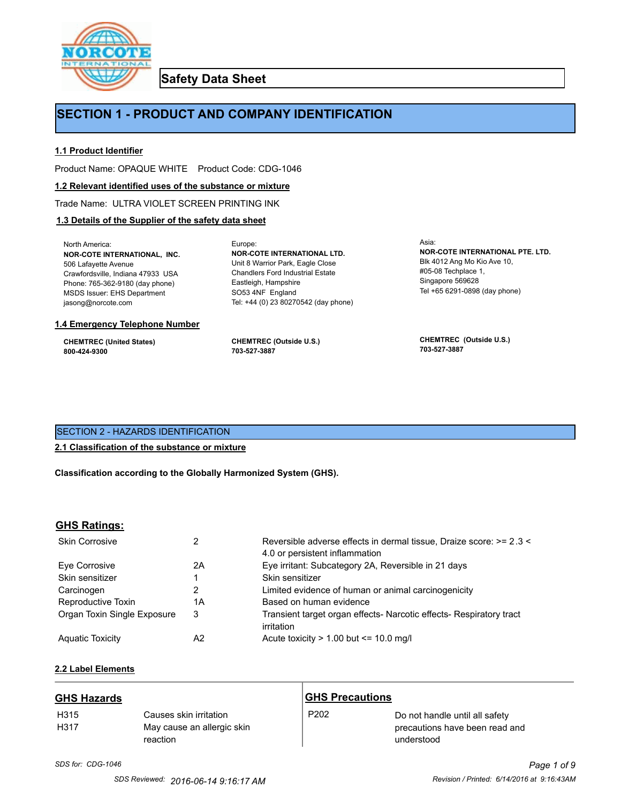

**Safety Data Sheet**

# **SECTION 1 - PRODUCT AND COMPANY IDENTIFICATION**

Europe:

### **1.1 Product Identifier**

Product Name: OPAQUE WHITE Product Code: CDG-1046

#### **1.2 Relevant identified uses of the substance or mixture**

Trade Name: ULTRA VIOLET SCREEN PRINTING INK

## **1.3 Details of the Supplier of the safety data sheet**

North America: **NOR-COTE INTERNATIONAL, INC.** 506 Lafayette Avenue Crawfordsville, Indiana 47933 USA Phone: 765-362-9180 (day phone) MSDS Issuer: EHS Department jasong@norcote.com

#### **1.4 Emergency Telephone Number**

**CHEMTREC (United States) 800-424-9300**

**CHEMTREC (Outside U.S.) 703-527-3887**

Eastleigh, Hampshire SO53 4NF England

**NOR-COTE INTERNATIONAL LTD.** Unit 8 Warrior Park, Eagle Close Chandlers Ford Industrial Estate

Tel: +44 (0) 23 80270542 (day phone)

Asia: **NOR-COTE INTERNATIONAL PTE. LTD.** Blk 4012 Ang Mo Kio Ave 10, #05-08 Techplace 1, Singapore 569628 Tel +65 6291-0898 (day phone)

**CHEMTREC (Outside U.S.) 703-527-3887**

## SECTION 2 - HAZARDS IDENTIFICATION

## **2.1 Classification of the substance or mixture**

**Classification according to the Globally Harmonized System (GHS).**

## **GHS Ratings:**

| <b>Skin Corrosive</b>       | 2  | Reversible adverse effects in dermal tissue, Draize score: >= 2.3 <<br>4.0 or persistent inflammation |
|-----------------------------|----|-------------------------------------------------------------------------------------------------------|
| Eve Corrosive               | 2A | Eye irritant: Subcategory 2A, Reversible in 21 days                                                   |
| Skin sensitizer             |    | Skin sensitizer                                                                                       |
| Carcinogen                  |    | Limited evidence of human or animal carcinogenicity                                                   |
| Reproductive Toxin          | 1A | Based on human evidence                                                                               |
| Organ Toxin Single Exposure | 3  | Transient target organ effects- Narcotic effects- Respiratory tract<br>irritation                     |
| <b>Aguatic Toxicity</b>     | A2 | Acute toxicity $> 1.00$ but $\leq 10.0$ mg/l                                                          |

## **2.2 Label Elements**

| <b>GHS Hazards</b> |                                                                  | <b>GHS Precautions</b> |                                                                                |
|--------------------|------------------------------------------------------------------|------------------------|--------------------------------------------------------------------------------|
| H315<br>H317       | Causes skin irritation<br>May cause an allergic skin<br>reaction | P <sub>202</sub>       | Do not handle until all safety<br>precautions have been read and<br>understood |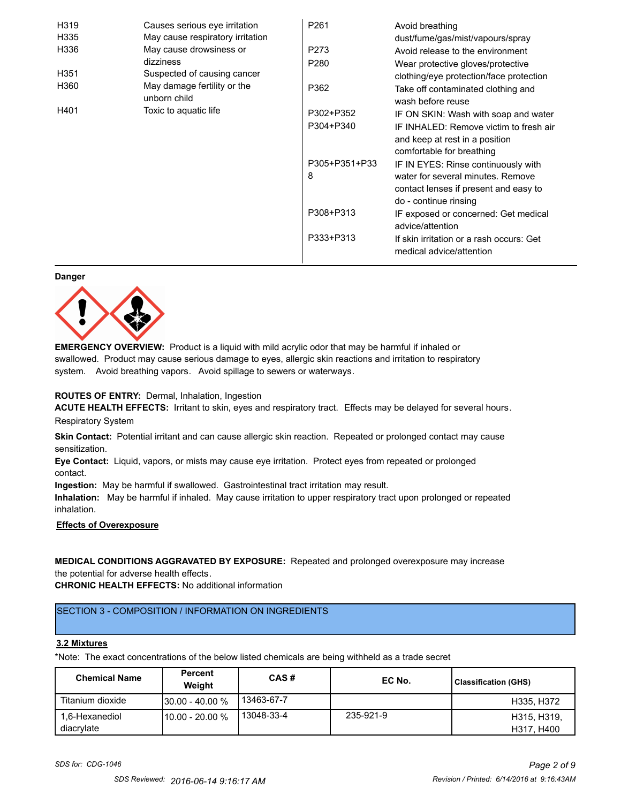| H319 | Causes serious eye irritation               | P <sub>261</sub> | Avoid breathing                                                      |
|------|---------------------------------------------|------------------|----------------------------------------------------------------------|
| H335 | May cause respiratory irritation            |                  | dust/fume/gas/mist/vapours/spray                                     |
| H336 | May cause drowsiness or                     | P273             | Avoid release to the environment                                     |
|      | dizziness                                   | P <sub>280</sub> | Wear protective gloves/protective                                    |
| H351 | Suspected of causing cancer                 |                  | clothing/eye protection/face protection                              |
| H360 | May damage fertility or the<br>unborn child | P362             | Take off contaminated clothing and<br>wash before reuse              |
| H401 | Toxic to aquatic life                       | P302+P352        | IF ON SKIN: Wash with soap and water                                 |
|      |                                             | P304+P340        | IF INHALED: Remove victim to fresh air                               |
|      |                                             |                  | and keep at rest in a position                                       |
|      |                                             |                  | comfortable for breathing                                            |
|      |                                             | P305+P351+P33    | IF IN EYES: Rinse continuously with                                  |
|      |                                             | 8                | water for several minutes. Remove                                    |
|      |                                             |                  | contact lenses if present and easy to                                |
|      |                                             |                  | do - continue rinsing                                                |
|      |                                             | P308+P313        | IF exposed or concerned: Get medical                                 |
|      |                                             |                  | advice/attention                                                     |
|      |                                             | P333+P313        | If skin irritation or a rash occurs: Get<br>medical advice/attention |

#### **Danger**



**EMERGENCY OVERVIEW:** Product is a liquid with mild acrylic odor that may be harmful if inhaled or swallowed. Product may cause serious damage to eyes, allergic skin reactions and irritation to respiratory system. Avoid breathing vapors. Avoid spillage to sewers or waterways.

#### **ROUTES OF ENTRY:** Dermal, Inhalation, Ingestion

**ACUTE HEALTH EFFECTS:** Irritant to skin, eyes and respiratory tract. Effects may be delayed for several hours. Respiratory System

**Skin Contact:** Potential irritant and can cause allergic skin reaction. Repeated or prolonged contact may cause sensitization.

**Eye Contact:** Liquid, vapors, or mists may cause eye irritation. Protect eyes from repeated or prolonged contact.

**Ingestion:** May be harmful if swallowed. Gastrointestinal tract irritation may result.

**Inhalation:** May be harmful if inhaled. May cause irritation to upper respiratory tract upon prolonged or repeated inhalation.

## **Effects of Overexposure**

## **MEDICAL CONDITIONS AGGRAVATED BY EXPOSURE:** Repeated and prolonged overexposure may increase the potential for adverse health effects.

**CHRONIC HEALTH EFFECTS:** No additional information

## SECTION 3 - COMPOSITION / INFORMATION ON INGREDIENTS

#### **3.2 Mixtures**

\*Note: The exact concentrations of the below listed chemicals are being withheld as a trade secret

| <b>Chemical Name</b>         | Percent<br>Weight  | CAS#       | EC No.    | <b>Classification (GHS)</b> |
|------------------------------|--------------------|------------|-----------|-----------------------------|
| Titanium dioxide             | $130.00 - 40.00 %$ | 13463-67-7 |           | H335, H372                  |
| 1,6-Hexanediol<br>diacrylate | 110.00 - 20.00 %   | 13048-33-4 | 235-921-9 | H315, H319,<br>H317, H400   |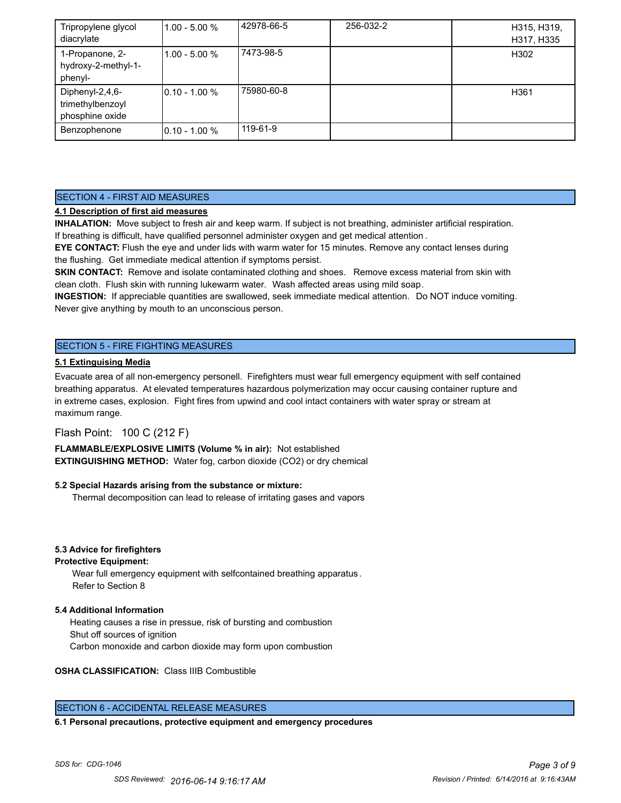| Tripropylene glycol<br>diacrylate                      | $11.00 - 5.00 %$ | 42978-66-5 | 256-032-2 | H315, H319,<br>H317, H335 |
|--------------------------------------------------------|------------------|------------|-----------|---------------------------|
| 1-Propanone, 2-<br>hydroxy-2-methyl-1-<br>phenyl-      | 11.00 - 5.00 %   | 7473-98-5  |           | H302                      |
| Diphenyl-2,4,6-<br>trimethylbenzoyl<br>phosphine oxide | $10.10 - 1.00 %$ | 75980-60-8 |           | H361                      |
| Benzophenone                                           | $10.10 - 1.00 %$ | 119-61-9   |           |                           |

### SECTION 4 - FIRST AID MEASURES

### **4.1 Description of first aid measures**

**INHALATION:** Move subject to fresh air and keep warm. If subject is not breathing, administer artificial respiration. If breathing is difficult, have qualified personnel administer oxygen and get medical attention .

**EYE CONTACT:** Flush the eye and under lids with warm water for 15 minutes. Remove any contact lenses during the flushing. Get immediate medical attention if symptoms persist.

**SKIN CONTACT:** Remove and isolate contaminated clothing and shoes. Remove excess material from skin with clean cloth. Flush skin with running lukewarm water. Wash affected areas using mild soap.

**INGESTION:** If appreciable quantities are swallowed, seek immediate medical attention. Do NOT induce vomiting. Never give anything by mouth to an unconscious person.

## SECTION 5 - FIRE FIGHTING MEASURES

#### **5.1 Extinguising Media**

Evacuate area of all non-emergency personell. Firefighters must wear full emergency equipment with self contained breathing apparatus. At elevated temperatures hazardous polymerization may occur causing container rupture and in extreme cases, explosion. Fight fires from upwind and cool intact containers with water spray or stream at maximum range.

## Flash Point: 100 C (212 F)

**FLAMMABLE/EXPLOSIVE LIMITS (Volume % in air):** Not established **EXTINGUISHING METHOD:** Water fog, carbon dioxide (CO2) or dry chemical

#### **5.2 Special Hazards arising from the substance or mixture:**

Thermal decomposition can lead to release of irritating gases and vapors

#### **5.3 Advice for firefighters**

#### **Protective Equipment:**

Wear full emergency equipment with selfcontained breathing apparatus . Refer to Section 8

#### **5.4 Additional Information**

 Heating causes a rise in pressue, risk of bursting and combustion Shut off sources of ignition Carbon monoxide and carbon dioxide may form upon combustion

#### **OSHA CLASSIFICATION:** Class IIIB Combustible

### SECTION 6 - ACCIDENTAL RELEASE MEASURES

**6.1 Personal precautions, protective equipment and emergency procedures**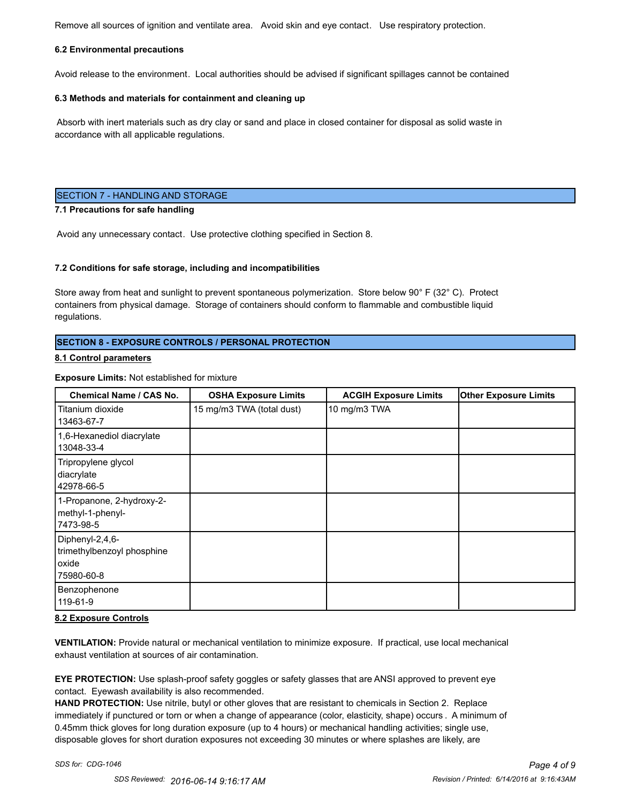Remove all sources of ignition and ventilate area. Avoid skin and eye contact. Use respiratory protection.

#### **6.2 Environmental precautions**

Avoid release to the environment. Local authorities should be advised if significant spillages cannot be contained

#### **6.3 Methods and materials for containment and cleaning up**

 Absorb with inert materials such as dry clay or sand and place in closed container for disposal as solid waste in accordance with all applicable regulations.

### SECTION 7 - HANDLING AND STORAGE

#### **7.1 Precautions for safe handling**

Avoid any unnecessary contact. Use protective clothing specified in Section 8.

#### **7.2 Conditions for safe storage, including and incompatibilities**

Store away from heat and sunlight to prevent spontaneous polymerization. Store below 90° F (32° C). Protect containers from physical damage. Storage of containers should conform to flammable and combustible liquid regulations.

### **SECTION 8 - EXPOSURE CONTROLS / PERSONAL PROTECTION**

#### **8.1 Control parameters**

#### **Exposure Limits:** Not established for mixture

| Chemical Name / CAS No.                                              | <b>OSHA Exposure Limits</b> | <b>ACGIH Exposure Limits</b> | <b>Other Exposure Limits</b> |
|----------------------------------------------------------------------|-----------------------------|------------------------------|------------------------------|
| Titanium dioxide<br>13463-67-7                                       | 15 mg/m3 TWA (total dust)   | 10 mg/m3 TWA                 |                              |
| 1,6-Hexanediol diacrylate<br>13048-33-4                              |                             |                              |                              |
| Tripropylene glycol<br>diacrylate<br>42978-66-5                      |                             |                              |                              |
| 1-Propanone, 2-hydroxy-2-<br>methyl-1-phenyl-<br> 7473-98-5          |                             |                              |                              |
| Diphenyl-2,4,6-<br>trimethylbenzoyl phosphine<br>oxide<br>75980-60-8 |                             |                              |                              |
| Benzophenone<br>119-61-9                                             |                             |                              |                              |

#### **8.2 Exposure Controls**

**VENTILATION:** Provide natural or mechanical ventilation to minimize exposure. If practical, use local mechanical exhaust ventilation at sources of air contamination.

**EYE PROTECTION:** Use splash-proof safety goggles or safety glasses that are ANSI approved to prevent eye contact. Eyewash availability is also recommended.

**HAND PROTECTION:** Use nitrile, butyl or other gloves that are resistant to chemicals in Section 2. Replace immediately if punctured or torn or when a change of appearance (color, elasticity, shape) occurs . A minimum of 0.45mm thick gloves for long duration exposure (up to 4 hours) or mechanical handling activities; single use, disposable gloves for short duration exposures not exceeding 30 minutes or where splashes are likely, are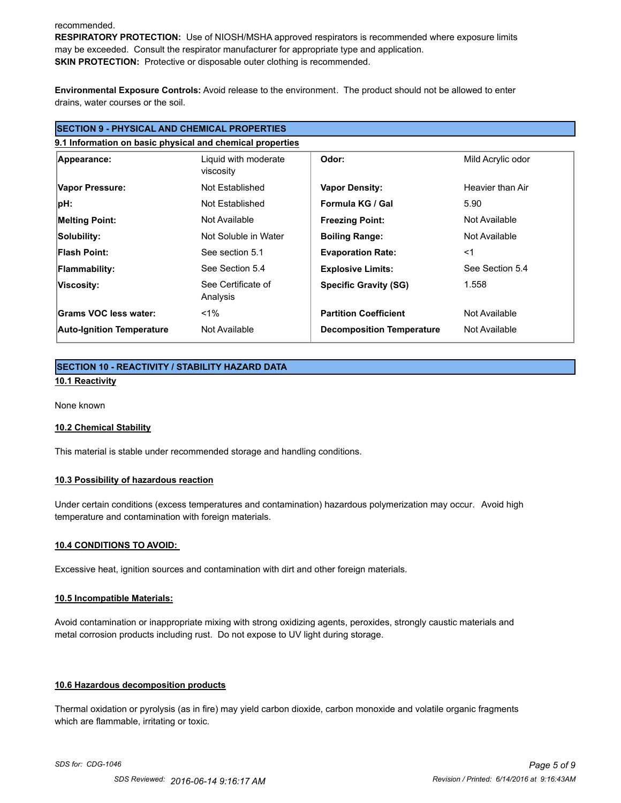#### recommended.

**RESPIRATORY PROTECTION:** Use of NIOSH/MSHA approved respirators is recommended where exposure limits may be exceeded. Consult the respirator manufacturer for appropriate type and application. **SKIN PROTECTION:** Protective or disposable outer clothing is recommended.

**Environmental Exposure Controls:** Avoid release to the environment. The product should not be allowed to enter drains, water courses or the soil.

| <b>SECTION 9 - PHYSICAL AND CHEMICAL PROPERTIES</b><br>9.1 Information on basic physical and chemical properties |                                |                                  |                  |
|------------------------------------------------------------------------------------------------------------------|--------------------------------|----------------------------------|------------------|
|                                                                                                                  |                                |                                  |                  |
| Vapor Pressure:                                                                                                  | Not Established                | <b>Vapor Density:</b>            | Heavier than Air |
| pH:                                                                                                              | Not Established                | Formula KG / Gal                 | 5.90             |
| <b>Melting Point:</b>                                                                                            | Not Available                  | <b>Freezing Point:</b>           | Not Available    |
| Solubility:                                                                                                      | Not Soluble in Water           | <b>Boiling Range:</b>            | Not Available    |
| <b>Flash Point:</b>                                                                                              | See section 5.1                | <b>Evaporation Rate:</b>         | $<$ 1            |
| <b>Flammability:</b>                                                                                             | See Section 5.4                | <b>Explosive Limits:</b>         | See Section 5.4  |
| Viscosity:                                                                                                       | See Certificate of<br>Analysis | <b>Specific Gravity (SG)</b>     | 1.558            |
| Grams VOC less water:                                                                                            | $<$ 1%                         | <b>Partition Coefficient</b>     | Not Available    |
| <b>Auto-Ignition Temperature</b>                                                                                 | Not Available                  | <b>Decomposition Temperature</b> | Not Available    |

## **SECTION 10 - REACTIVITY / STABILITY HAZARD DATA 10.1 Reactivity**

None known

#### **10.2 Chemical Stability**

This material is stable under recommended storage and handling conditions.

#### **10.3 Possibility of hazardous reaction**

Under certain conditions (excess temperatures and contamination) hazardous polymerization may occur. Avoid high temperature and contamination with foreign materials.

#### **10.4 CONDITIONS TO AVOID:**

Excessive heat, ignition sources and contamination with dirt and other foreign materials.

#### **10.5 Incompatible Materials:**

Avoid contamination or inappropriate mixing with strong oxidizing agents, peroxides, strongly caustic materials and metal corrosion products including rust. Do not expose to UV light during storage.

#### **10.6 Hazardous decomposition products**

Thermal oxidation or pyrolysis (as in fire) may yield carbon dioxide, carbon monoxide and volatile organic fragments which are flammable, irritating or toxic.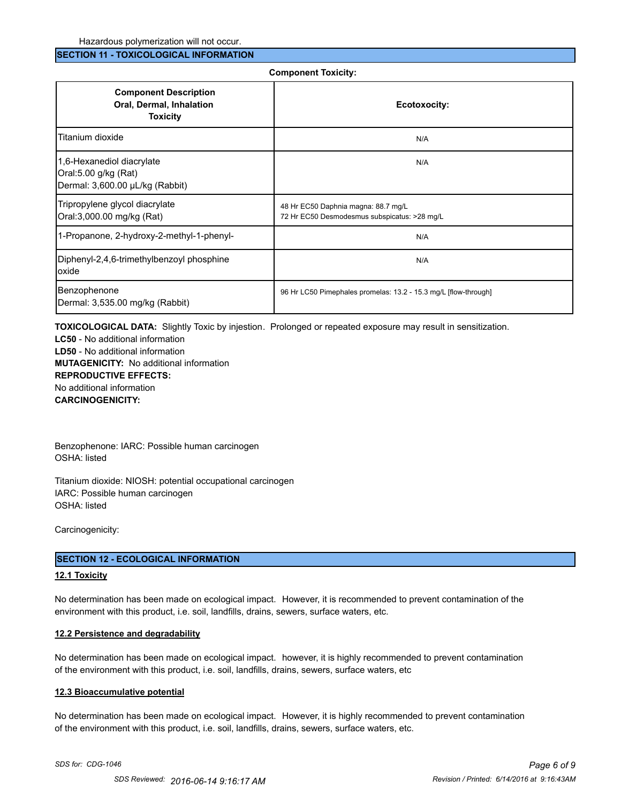#### **SECTION 11 - TOXICOLOGICAL INFORMATION**

#### **Component Toxicity:**

| <b>Component Description</b><br>Oral, Dermal, Inhalation<br><b>Toxicity</b>          | Ecotoxocity:                                                                        |
|--------------------------------------------------------------------------------------|-------------------------------------------------------------------------------------|
| Titanium dioxide                                                                     | N/A                                                                                 |
| 1,6-Hexanediol diacrylate<br>Oral:5.00 g/kg (Rat)<br>Dermal: 3,600.00 µL/kg (Rabbit) | N/A                                                                                 |
| Tripropylene glycol diacrylate<br>Oral:3,000.00 mg/kg (Rat)                          | 48 Hr EC50 Daphnia magna: 88.7 mg/L<br>72 Hr EC50 Desmodesmus subspicatus: >28 mg/L |
| 1-Propanone, 2-hydroxy-2-methyl-1-phenyl-                                            | N/A                                                                                 |
| Diphenyl-2,4,6-trimethylbenzoyl phosphine<br>loxide                                  | N/A                                                                                 |
| Benzophenone<br>Dermal: 3,535.00 mg/kg (Rabbit)                                      | 96 Hr LC50 Pimephales promelas: 13.2 - 15.3 mg/L [flow-through]                     |

**TOXICOLOGICAL DATA:** Slightly Toxic by injestion. Prolonged or repeated exposure may result in sensitization.

**LC50** - No additional information **LD50** - No additional information **MUTAGENICITY:** No additional information **REPRODUCTIVE EFFECTS:** No additional information **CARCINOGENICITY:**

Benzophenone: IARC: Possible human carcinogen OSHA: listed

Titanium dioxide: NIOSH: potential occupational carcinogen IARC: Possible human carcinogen OSHA: listed

Carcinogenicity:

#### **SECTION 12 - ECOLOGICAL INFORMATION**

#### **12.1 Toxicity**

No determination has been made on ecological impact. However, it is recommended to prevent contamination of the environment with this product, i.e. soil, landfills, drains, sewers, surface waters, etc.

#### **12.2 Persistence and degradability**

No determination has been made on ecological impact. however, it is highly recommended to prevent contamination of the environment with this product, i.e. soil, landfills, drains, sewers, surface waters, etc

#### **12.3 Bioaccumulative potential**

No determination has been made on ecological impact. However, it is highly recommended to prevent contamination of the environment with this product, i.e. soil, landfills, drains, sewers, surface waters, etc.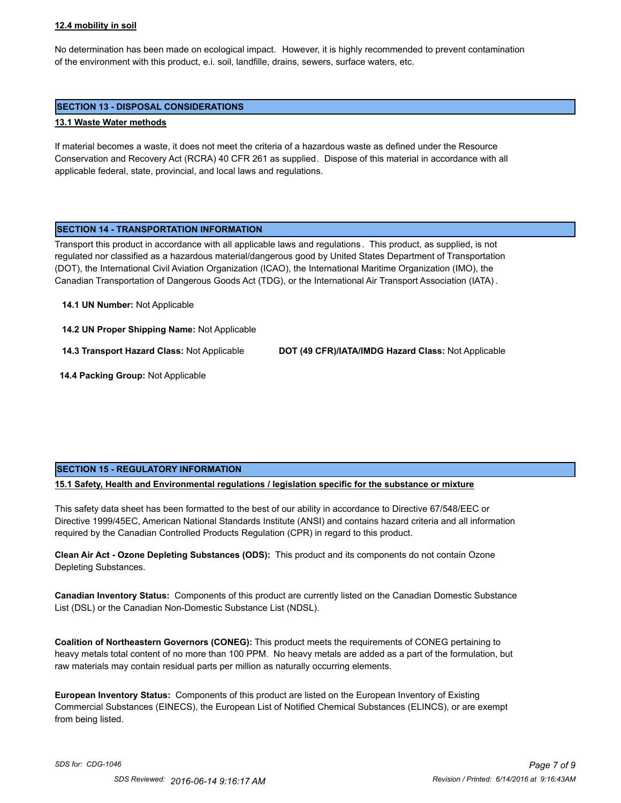#### **12.4 mobility in soil**

No determination has been made on ecological impact. However, it is highly recommended to prevent contamination of the environment with this product, e.i. soil, landfille, drains, sewers, surface waters, etc.

### **SECTION 13 - DISPOSAL CONSIDERATIONS**

### **13.1 Waste Water methods**

If material becomes a waste, it does not meet the criteria of a hazardous waste as defined under the Resource Conservation and Recovery Act (RCRA) 40 CFR 261 as supplied. Dispose of this material in accordance with all applicable federal, state, provincial, and local laws and regulations.

### **SECTION 14 - TRANSPORTATION INFORMATION**

Transport this product in accordance with all applicable laws and regulations . This product, as supplied, is not regulated nor classified as a hazardous material/dangerous good by United States Department of Transportation (DOT), the International Civil Aviation Organization (ICAO), the International Maritime Organization (IMO), the Canadian Transportation of Dangerous Goods Act (TDG), or the International Air Transport Association (IATA) .

**14.1 UN Number:** Not Applicable

**14.2 UN Proper Shipping Name:** Not Applicable

**14.3 Transport Hazard Class:** Not Applicable **DOT (49 CFR)/IATA/IMDG Hazard Class:** Not Applicable

 **14.4 Packing Group:** Not Applicable

## **SECTION 15 - REGULATORY INFORMATION**

**15.1 Safety, Health and Environmental regulations / legislation specific for the substance or mixture**

This safety data sheet has been formatted to the best of our ability in accordance to Directive 67/548/EEC or Directive 1999/45EC, American National Standards Institute (ANSI) and contains hazard criteria and all information required by the Canadian Controlled Products Regulation (CPR) in regard to this product.

**Clean Air Act - Ozone Depleting Substances (ODS):** This product and its components do not contain Ozone Depleting Substances.

**Canadian Inventory Status:** Components of this product are currently listed on the Canadian Domestic Substance List (DSL) or the Canadian Non-Domestic Substance List (NDSL).

**Coalition of Northeastern Governors (CONEG):** This product meets the requirements of CONEG pertaining to heavy metals total content of no more than 100 PPM. No heavy metals are added as a part of the formulation, but raw materials may contain residual parts per million as naturally occurring elements.

**European Inventory Status:** Components of this product are listed on the European Inventory of Existing Commercial Substances (EINECS), the European List of Notified Chemical Substances (ELINCS), or are exempt from being listed.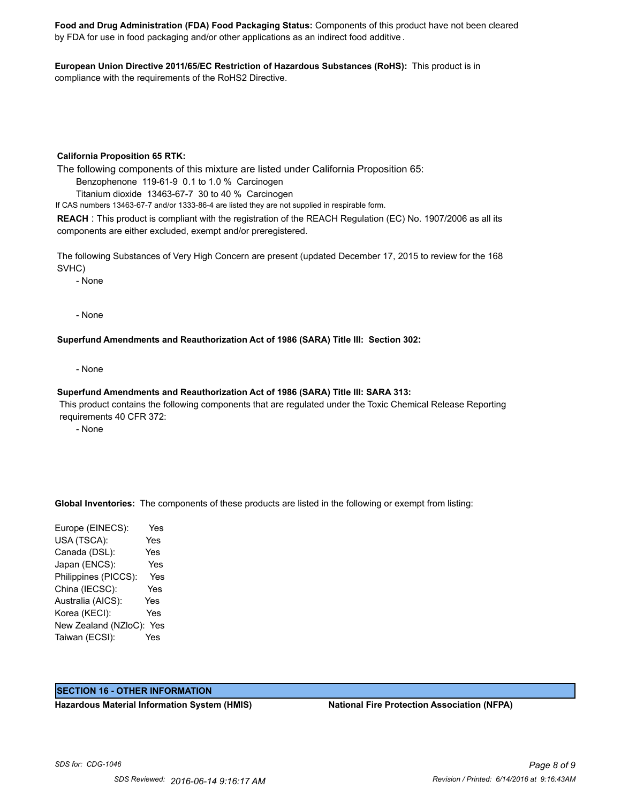**Food and Drug Administration (FDA) Food Packaging Status:** Components of this product have not been cleared by FDA for use in food packaging and/or other applications as an indirect food additive .

**European Union Directive 2011/65/EC Restriction of Hazardous Substances (RoHS):** This product is in compliance with the requirements of the RoHS2 Directive.

#### **California Proposition 65 RTK:**

The following components of this mixture are listed under California Proposition 65:

Benzophenone 119-61-9 0.1 to 1.0 % Carcinogen

Titanium dioxide 13463-67-7 30 to 40 % Carcinogen

If CAS numbers 13463-67-7 and/or 1333-86-4 are listed they are not supplied in respirable form.

**REACH** : This product is compliant with the registration of the REACH Regulation (EC) No. 1907/2006 as all its components are either excluded, exempt and/or preregistered.

The following Substances of Very High Concern are present (updated December 17, 2015 to review for the 168 SVHC)

- None

- None

**Superfund Amendments and Reauthorization Act of 1986 (SARA) Title III: Section 302:**

- None

#### **Superfund Amendments and Reauthorization Act of 1986 (SARA) Title III: SARA 313:**

 This product contains the following components that are regulated under the Toxic Chemical Release Reporting requirements 40 CFR 372:

- None

**Global Inventories:** The components of these products are listed in the following or exempt from listing:

Europe (EINECS): Yes USA (TSCA): Yes Canada (DSL): Yes Japan (ENCS): Yes Philippines (PICCS): Yes China (IECSC): Yes Australia (AICS): Yes Korea (KECI): Yes New Zealand (NZloC): Yes Taiwan (ECSI): Yes

## **SECTION 16 - OTHER INFORMATION**

**Hazardous Material Information System (HMIS) National Fire Protection Association (NFPA)**